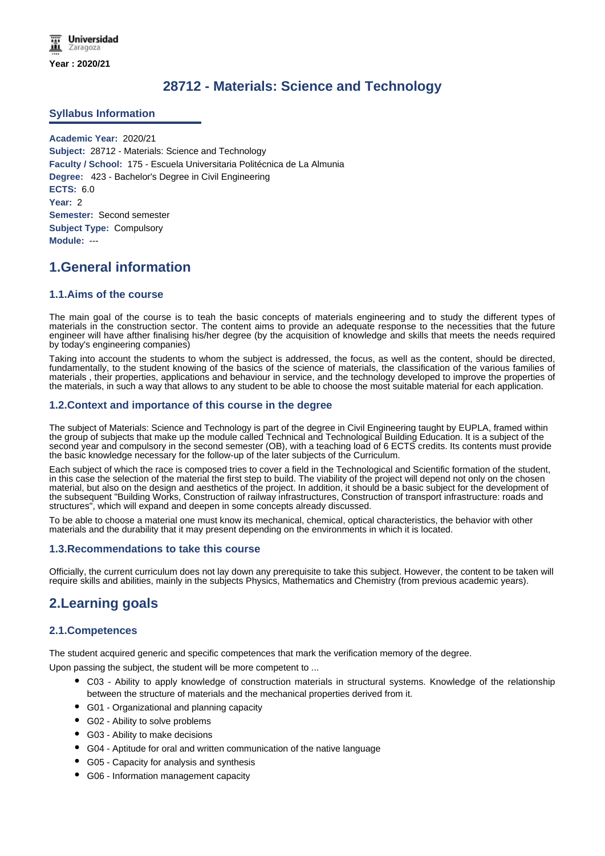# **28712 - Materials: Science and Technology**

#### **Syllabus Information**

**Academic Year:** 2020/21 **Subject:** 28712 - Materials: Science and Technology **Faculty / School:** 175 - Escuela Universitaria Politécnica de La Almunia **Degree:** 423 - Bachelor's Degree in Civil Engineering **ECTS:** 6.0 **Year:** 2 **Semester:** Second semester **Subject Type:** Compulsory **Module:** ---

# **1.General information**

### **1.1.Aims of the course**

The main goal of the course is to teah the basic concepts of materials engineering and to study the different types of materials in the construction sector. The content aims to provide an adequate response to the necessities that the future engineer will have afther finalising his/her degree (by the acquisition of knowledge and skills that meets the needs required by today's engineering companies)

Taking into account the students to whom the subject is addressed, the focus, as well as the content, should be directed, fundamentally, to the student knowing of the basics of the science of materials, the classification of the various families of materials , their properties, applications and behaviour in service, and the technology developed to improve the properties of the materials, in such a way that allows to any student to be able to choose the most suitable material for each application.

### **1.2.Context and importance of this course in the degree**

The subject of Materials: Science and Technology is part of the degree in Civil Engineering taught by EUPLA, framed within the group of subjects that make up the module called Technical and Technological Building Education. It is a subject of the second year and compulsory in the second semester (OB), with a teaching load of 6 ECTS credits. Its contents must provide the basic knowledge necessary for the follow-up of the later subjects of the Curriculum.

Each subject of which the race is composed tries to cover a field in the Technological and Scientific formation of the student, in this case the selection of the material the first step to build. The viability of the project will depend not only on the chosen material, but also on the design and aesthetics of the project. In addition, it should be a basic subject for the development of the subsequent "Building Works, Construction of railway infrastructures, Construction of transport infrastructure: roads and structures", which will expand and deepen in some concepts already discussed.

To be able to choose a material one must know its mechanical, chemical, optical characteristics, the behavior with other materials and the durability that it may present depending on the environments in which it is located.

#### **1.3.Recommendations to take this course**

Officially, the current curriculum does not lay down any prerequisite to take this subject. However, the content to be taken will require skills and abilities, mainly in the subjects Physics, Mathematics and Chemistry (from previous academic years).

## **2.Learning goals**

### **2.1.Competences**

The student acquired generic and specific competences that mark the verification memory of the degree.

Upon passing the subject, the student will be more competent to ...

- C03 Ability to apply knowledge of construction materials in structural systems. Knowledge of the relationship between the structure of materials and the mechanical properties derived from it.
- G01 Organizational and planning capacity
- G02 Ability to solve problems
- G03 Ability to make decisions
- G04 Aptitude for oral and written communication of the native language
- G05 Capacity for analysis and synthesis
- G06 Information management capacity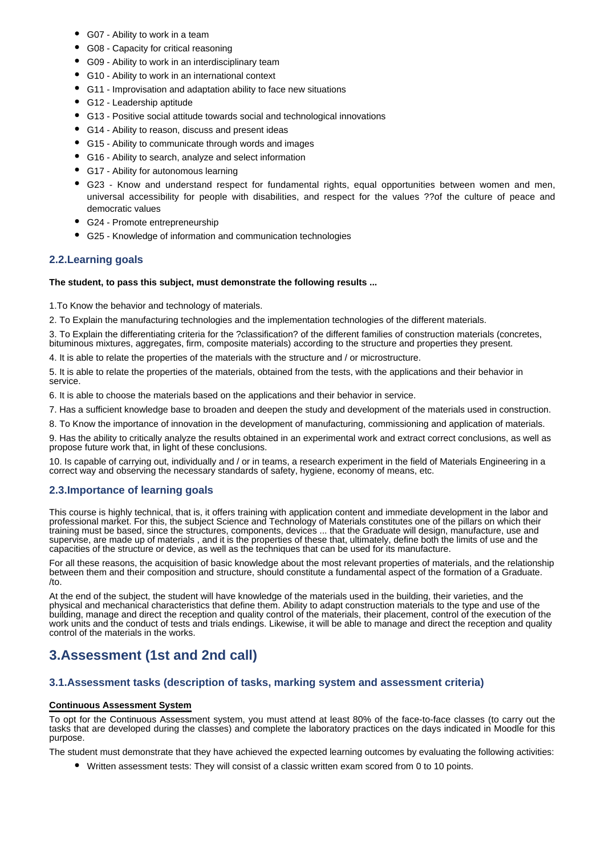- G07 Ability to work in a team
- G08 Capacity for critical reasoning
- G09 Ability to work in an interdisciplinary team
- G10 Ability to work in an international context
- G11 Improvisation and adaptation ability to face new situations
- G12 Leadership aptitude
- G13 Positive social attitude towards social and technological innovations
- G14 Ability to reason, discuss and present ideas
- G15 Ability to communicate through words and images
- G16 Ability to search, analyze and select information
- G17 Ability for autonomous learning
- G23 Know and understand respect for fundamental rights, equal opportunities between women and men, universal accessibility for people with disabilities, and respect for the values ??of the culture of peace and democratic values
- G24 Promote entrepreneurship
- G25 Knowledge of information and communication technologies

### **2.2.Learning goals**

#### **The student, to pass this subject, must demonstrate the following results ...**

1.To Know the behavior and technology of materials.

2. To Explain the manufacturing technologies and the implementation technologies of the different materials.

3. To Explain the differentiating criteria for the ?classification? of the different families of construction materials (concretes, bituminous mixtures, aggregates, firm, composite materials) according to the structure and properties they present.

4. It is able to relate the properties of the materials with the structure and / or microstructure.

5. It is able to relate the properties of the materials, obtained from the tests, with the applications and their behavior in service.

6. It is able to choose the materials based on the applications and their behavior in service.

7. Has a sufficient knowledge base to broaden and deepen the study and development of the materials used in construction.

8. To Know the importance of innovation in the development of manufacturing, commissioning and application of materials.

9. Has the ability to critically analyze the results obtained in an experimental work and extract correct conclusions, as well as propose future work that, in light of these conclusions.

10. Is capable of carrying out, individually and / or in teams, a research experiment in the field of Materials Engineering in a correct way and observing the necessary standards of safety, hygiene, economy of means, etc.

#### **2.3.Importance of learning goals**

This course is highly technical, that is, it offers training with application content and immediate development in the labor and professional market. For this, the subject Science and Technology of Materials constitutes one of the pillars on which their training must be based, since the structures, components, devices ... that the Graduate will design, manufacture, use and supervise, are made up of materials , and it is the properties of these that, ultimately, define both the limits of use and the capacities of the structure or device, as well as the techniques that can be used for its manufacture.

For all these reasons, the acquisition of basic knowledge about the most relevant properties of materials, and the relationship between them and their composition and structure, should constitute a fundamental aspect of the formation of a Graduate. /to.

At the end of the subject, the student will have knowledge of the materials used in the building, their varieties, and the physical and mechanical characteristics that define them. Ability to adapt construction materials to the type and use of the building, manage and direct the reception and quality control of the materials, their placement, control of the execution of the work units and the conduct of tests and trials endings. Likewise, it will be able to manage and direct the reception and quality control of the materials in the works.

# **3.Assessment (1st and 2nd call)**

#### **3.1.Assessment tasks (description of tasks, marking system and assessment criteria)**

#### **Continuous Assessment System**

To opt for the Continuous Assessment system, you must attend at least 80% of the face-to-face classes (to carry out the tasks that are developed during the classes) and complete the laboratory practices on the days indicated in Moodle for this purpose.

The student must demonstrate that they have achieved the expected learning outcomes by evaluating the following activities:

Written assessment tests: They will consist of a classic written exam scored from 0 to 10 points.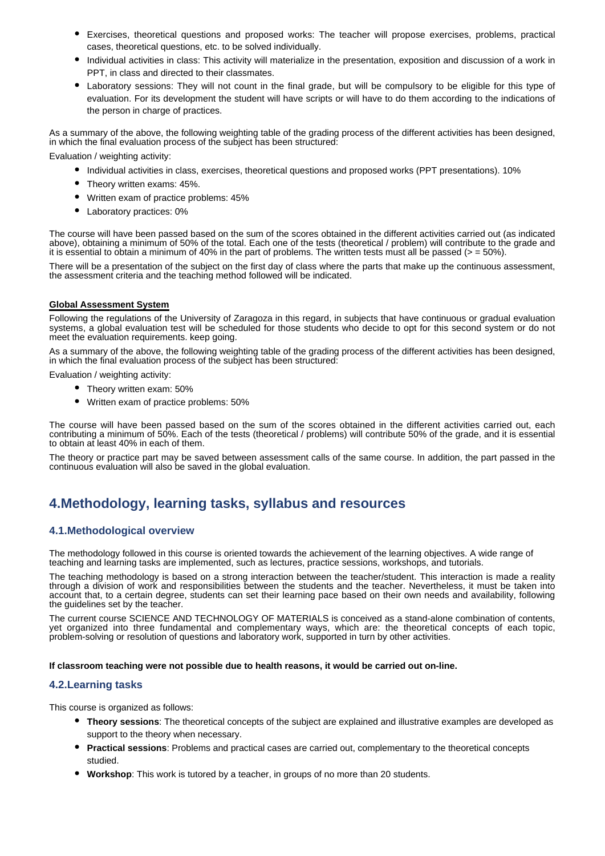- Exercises, theoretical questions and proposed works: The teacher will propose exercises, problems, practical cases, theoretical questions, etc. to be solved individually.
- Individual activities in class: This activity will materialize in the presentation, exposition and discussion of a work in PPT, in class and directed to their classmates.
- Laboratory sessions: They will not count in the final grade, but will be compulsory to be eligible for this type of evaluation. For its development the student will have scripts or will have to do them according to the indications of the person in charge of practices.

As a summary of the above, the following weighting table of the grading process of the different activities has been designed, in which the final evaluation process of the subject has been structured:

Evaluation / weighting activity:

- Individual activities in class, exercises, theoretical questions and proposed works (PPT presentations). 10%
- Theory written exams: 45%.
- Written exam of practice problems: 45%
- Laboratory practices: 0%

The course will have been passed based on the sum of the scores obtained in the different activities carried out (as indicated above), obtaining a minimum of 50% of the total. Each one of the tests (theoretical / problem) will contribute to the grade and it is essential to obtain a minimum of 40% in the part of problems. The written tests must all be passed ( $>$  = 50%).

There will be a presentation of the subject on the first day of class where the parts that make up the continuous assessment, the assessment criteria and the teaching method followed will be indicated.

#### **Global Assessment System**

Following the regulations of the University of Zaragoza in this regard, in subjects that have continuous or gradual evaluation systems, a global evaluation test will be scheduled for those students who decide to opt for this second system or do not meet the evaluation requirements. keep going.

As a summary of the above, the following weighting table of the grading process of the different activities has been designed, in which the final evaluation process of the subject has been structured:

Evaluation / weighting activity:

- Theory written exam: 50%
- Written exam of practice problems: 50%

The course will have been passed based on the sum of the scores obtained in the different activities carried out, each contributing a minimum of 50%. Each of the tests (theoretical / problems) will contribute 50% of the grade, and it is essential to obtain at least 40% in each of them.

The theory or practice part may be saved between assessment calls of the same course. In addition, the part passed in the continuous evaluation will also be saved in the global evaluation.

## **4.Methodology, learning tasks, syllabus and resources**

#### **4.1.Methodological overview**

The methodology followed in this course is oriented towards the achievement of the learning objectives. A wide range of teaching and learning tasks are implemented, such as lectures, practice sessions, workshops, and tutorials.

The teaching methodology is based on a strong interaction between the teacher/student. This interaction is made a reality through a division of work and responsibilities between the students and the teacher. Nevertheless, it must be taken into account that, to a certain degree, students can set their learning pace based on their own needs and availability, following the guidelines set by the teacher.

The current course SCIENCE AND TECHNOLOGY OF MATERIALS is conceived as a stand-alone combination of contents, yet organized into three fundamental and complementary ways, which are: the theoretical concepts of each topic, problem-solving or resolution of questions and laboratory work, supported in turn by other activities.

**If classroom teaching were not possible due to health reasons, it would be carried out on-line.**

#### **4.2.Learning tasks**

This course is organized as follows:

- **Theory sessions**: The theoretical concepts of the subject are explained and illustrative examples are developed as support to the theory when necessary.
- **Practical sessions**: Problems and practical cases are carried out, complementary to the theoretical concepts studied.
- **Workshop**: This work is tutored by a teacher, in groups of no more than 20 students.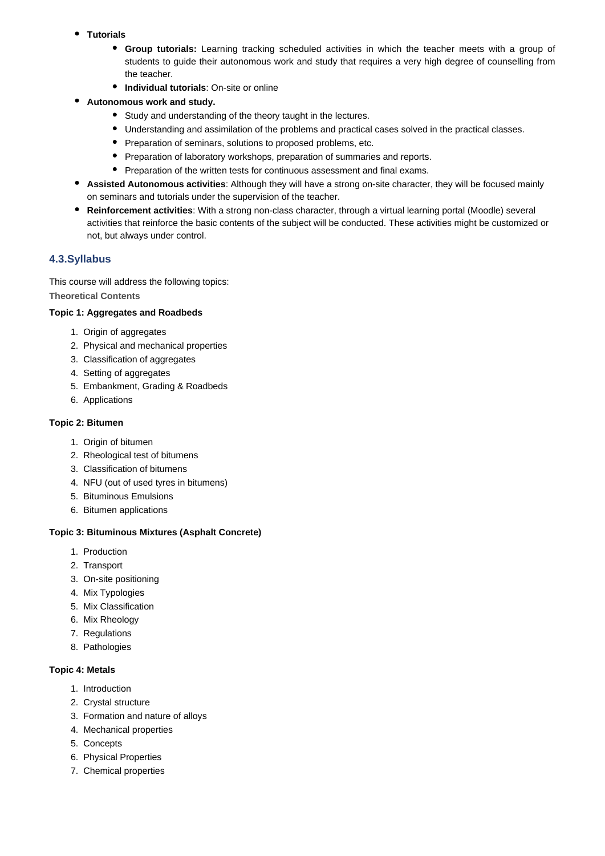- **Tutorials**
	- **Group tutorials:** Learning tracking scheduled activities in which the teacher meets with a group of students to guide their autonomous work and study that requires a very high degree of counselling from the teacher.
	- **Individual tutorials**: On-site or online
- **Autonomous work and study.**
	- Study and understanding of the theory taught in the lectures.
	- Understanding and assimilation of the problems and practical cases solved in the practical classes.
	- Preparation of seminars, solutions to proposed problems, etc.
	- Preparation of laboratory workshops, preparation of summaries and reports.
	- Preparation of the written tests for continuous assessment and final exams.
- **Assisted Autonomous activities**: Although they will have a strong on-site character, they will be focused mainly on seminars and tutorials under the supervision of the teacher.
- **Reinforcement activities**: With a strong non-class character, through a virtual learning portal (Moodle) several activities that reinforce the basic contents of the subject will be conducted. These activities might be customized or not, but always under control.

## **4.3.Syllabus**

This course will address the following topics:

**Theoretical Contents**

### **Topic 1: Aggregates and Roadbeds**

- 1. Origin of aggregates
- 2. Physical and mechanical properties
- 3. Classification of aggregates
- 4. Setting of aggregates
- 5. Embankment, Grading & Roadbeds
- 6. Applications

### **Topic 2: Bitumen**

- 1. Origin of bitumen
- 2. Rheological test of bitumens
- 3. Classification of bitumens
- 4. NFU (out of used tyres in bitumens)
- 5. Bituminous Emulsions
- 6. Bitumen applications

#### **Topic 3: Bituminous Mixtures (Asphalt Concrete)**

- 1. Production
- 2. Transport
- 3. On-site positioning
- 4. Mix Typologies
- 5. Mix Classification
- 6. Mix Rheology
- 7. Regulations
- 8. Pathologies

#### **Topic 4: Metals**

- 1. Introduction
- 2. Crystal structure
- 3. Formation and nature of alloys
- 4. Mechanical properties
- 5. Concepts
- 6. Physical Properties
- 7. Chemical properties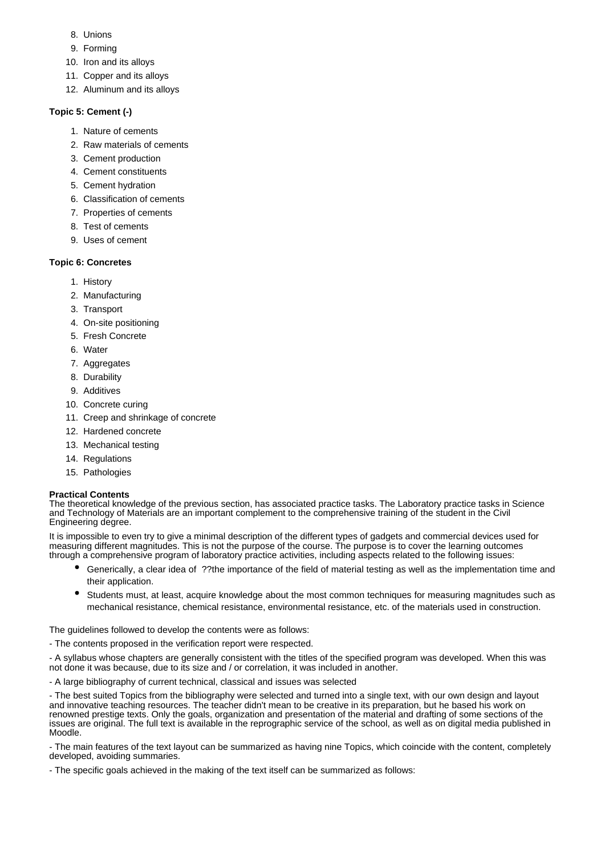- 8. Unions
- 9. Forming
- 10. Iron and its alloys
- 11. Copper and its alloys
- 12. Aluminum and its alloys

## **Topic 5: Cement (-)**

- 1. Nature of cements
- 2. Raw materials of cements
- 3. Cement production
- 4. Cement constituents
- 5. Cement hydration
- 6. Classification of cements
- 7. Properties of cements
- 8. Test of cements
- 9. Uses of cement

## **Topic 6: Concretes**

- 1. History
- 2. Manufacturing
- 3. Transport
- 4. On-site positioning
- 5. Fresh Concrete
- 6. Water
- 7. Aggregates
- 8. Durability
- 9. Additives
- 10. Concrete curing
- 11. Creep and shrinkage of concrete
- 12. Hardened concrete
- 13. Mechanical testing
- 14. Regulations
- 15. Pathologies

## **Practical Contents**

The theoretical knowledge of the previous section, has associated practice tasks. The Laboratory practice tasks in Science and Technology of Materials are an important complement to the comprehensive training of the student in the Civil Engineering degree.

It is impossible to even try to give a minimal description of the different types of gadgets and commercial devices used for measuring different magnitudes. This is not the purpose of the course. The purpose is to cover the learning outcomes through a comprehensive program of laboratory practice activities, including aspects related to the following issues:

- Generically, a clear idea of ??the importance of the field of material testing as well as the implementation time and their application.
- Students must, at least, acquire knowledge about the most common techniques for measuring magnitudes such as mechanical resistance, chemical resistance, environmental resistance, etc. of the materials used in construction.

The guidelines followed to develop the contents were as follows:

- The contents proposed in the verification report were respected.

- A syllabus whose chapters are generally consistent with the titles of the specified program was developed. When this was not done it was because, due to its size and / or correlation, it was included in another.

- A large bibliography of current technical, classical and issues was selected

- The best suited Topics from the bibliography were selected and turned into a single text, with our own design and layout and innovative teaching resources. The teacher didn't mean to be creative in its preparation, but he based his work on renowned prestige texts. Only the goals, organization and presentation of the material and drafting of some sections of the issues are original. The full text is available in the reprographic service of the school, as well as on digital media published in Moodle.

- The main features of the text layout can be summarized as having nine Topics, which coincide with the content, completely developed, avoiding summaries.

- The specific goals achieved in the making of the text itself can be summarized as follows: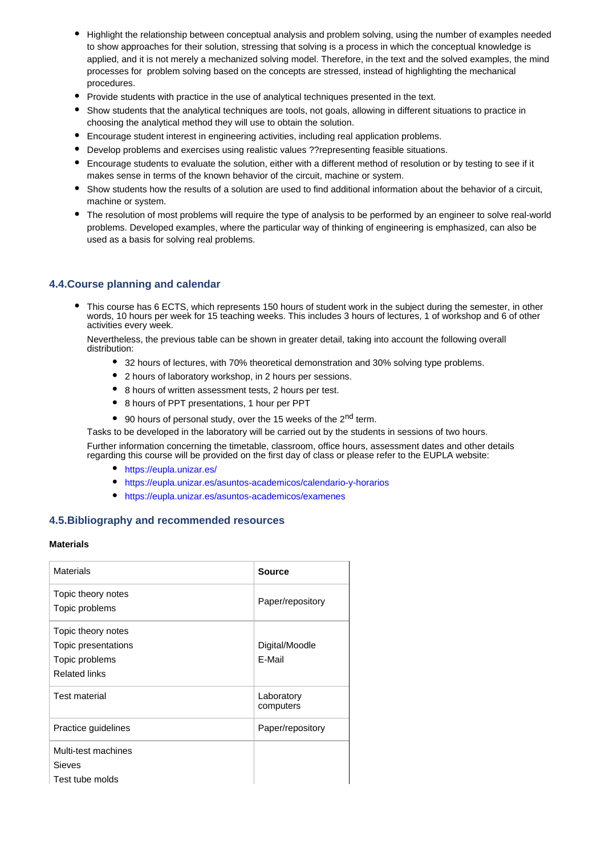- Highlight the relationship between conceptual analysis and problem solving, using the number of examples needed to show approaches for their solution, stressing that solving is a process in which the conceptual knowledge is applied, and it is not merely a mechanized solving model. Therefore, in the text and the solved examples, the mind processes for problem solving based on the concepts are stressed, instead of highlighting the mechanical procedures.
- Provide students with practice in the use of analytical techniques presented in the text.
- Show students that the analytical techniques are tools, not goals, allowing in different situations to practice in choosing the analytical method they will use to obtain the solution.
- Encourage student interest in engineering activities, including real application problems.
- Develop problems and exercises using realistic values ??representing feasible situations.
- Encourage students to evaluate the solution, either with a different method of resolution or by testing to see if it makes sense in terms of the known behavior of the circuit, machine or system.
- Show students how the results of a solution are used to find additional information about the behavior of a circuit, machine or system.
- The resolution of most problems will require the type of analysis to be performed by an engineer to solve real-world problems. Developed examples, where the particular way of thinking of engineering is emphasized, can also be used as a basis for solving real problems.

### **4.4.Course planning and calendar**

This course has 6 ECTS, which represents 150 hours of student work in the subject during the semester, in other words, 10 hours per week for 15 teaching weeks. This includes 3 hours of lectures, 1 of workshop and 6 of other activities every week.

Nevertheless, the previous table can be shown in greater detail, taking into account the following overall distribution:

- 32 hours of lectures, with 70% theoretical demonstration and 30% solving type problems.
- 2 hours of laboratory workshop, in 2 hours per sessions.
- 8 hours of written assessment tests, 2 hours per test.
- 8 hours of PPT presentations, 1 hour per PPT
- $\bullet$  90 hours of personal study, over the 15 weeks of the 2<sup>nd</sup> term.

Tasks to be developed in the laboratory will be carried out by the students in sessions of two hours.

Further information concerning the timetable, classroom, office hours, assessment dates and other details regarding this course will be provided on the first day of class or please refer to the EUPLA website:

- https://eupla.unizar.es/
- https://eupla.unizar.es/asuntos-academicos/calendario-y-horarios
- https://eupla.unizar.es/asuntos-academicos/examenes

#### **4.5.Bibliography and recommended resources**

#### **Materials**

| <b>Materials</b>                                                                    | <b>Source</b>            |
|-------------------------------------------------------------------------------------|--------------------------|
| Topic theory notes<br>Topic problems                                                | Paper/repository         |
| Topic theory notes<br>Topic presentations<br>Topic problems<br><b>Related links</b> | Digital/Moodle<br>F-Mail |
| <b>Test material</b>                                                                | Laboratory<br>computers  |
| Practice guidelines                                                                 | Paper/repository         |
| Multi-test machines<br><b>Sieves</b><br>Test tube molds                             |                          |